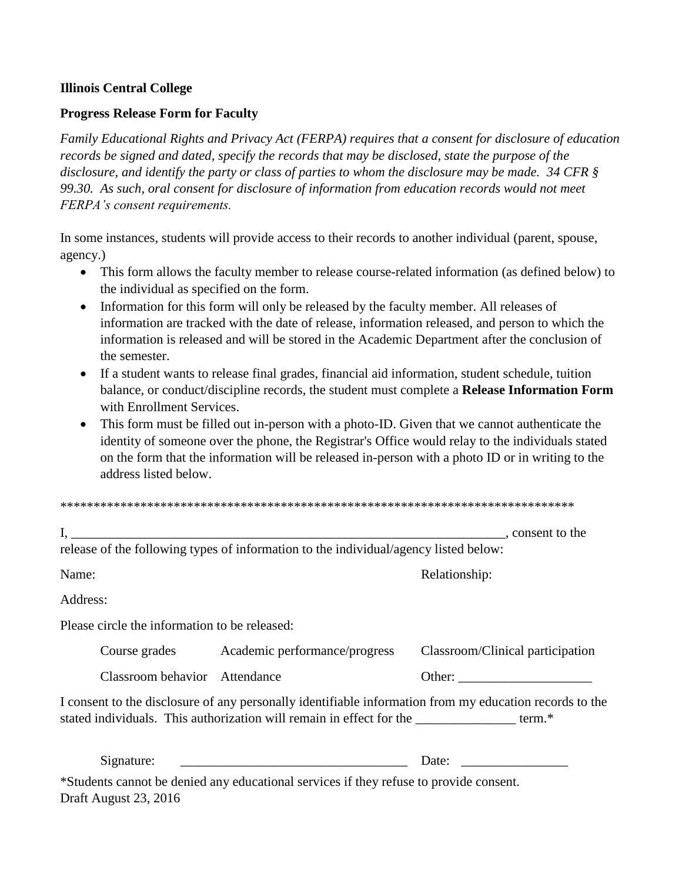## **Illinois Central College**

## **Progress Release Form for Faculty**

*Family Educational Rights and Privacy Act (FERPA) requires that a consent for disclosure of education records be signed and dated, specify the records that may be disclosed, state the purpose of the disclosure, and identify the party or class of parties to whom the disclosure may be made. 34 CFR § 99.30. As such, oral consent for disclosure of information from education records would not meet FERPA's consent requirements.*

In some instances, students will provide access to their records to another individual (parent, spouse, agency.)

- This form allows the faculty member to release course-related information (as defined below) to the individual as specified on the form.
- Information for this form will only be released by the faculty member. All releases of information are tracked with the date of release, information released, and person to which the information is released and will be stored in the Academic Department after the conclusion of the semester.
- If a student wants to release final grades, financial aid information, student schedule, tuition balance, or conduct/discipline records, the student must complete a **Release Information Form** with Enrollment Services.
- This form must be filled out in-person with a photo-ID. Given that we cannot authenticate the identity of someone over the phone, the Registrar's Office would relay to the individuals stated on the form that the information will be released in-person with a photo ID or in writing to the address listed below.

|                                               | release of the following types of information to the individual/agency listed below:                                                      |                                                                                                         |
|-----------------------------------------------|-------------------------------------------------------------------------------------------------------------------------------------------|---------------------------------------------------------------------------------------------------------|
| Name:                                         |                                                                                                                                           | Relationship:                                                                                           |
| Address:                                      |                                                                                                                                           |                                                                                                         |
| Please circle the information to be released: |                                                                                                                                           |                                                                                                         |
|                                               | Course grades Academic performance/progress                                                                                               | Classroom/Clinical participation                                                                        |
| Classroom behavior Attendance                 |                                                                                                                                           |                                                                                                         |
|                                               | stated individuals. This authorization will remain in effect for the stated individuals. This authorization will remain in effect for the | I consent to the disclosure of any personally identifiable information from my education records to the |
| Signature:                                    |                                                                                                                                           | Date:                                                                                                   |
|                                               | *Students cannot be denied any educational services if they refuse to provide consent.                                                    |                                                                                                         |

Draft August 23, 2016